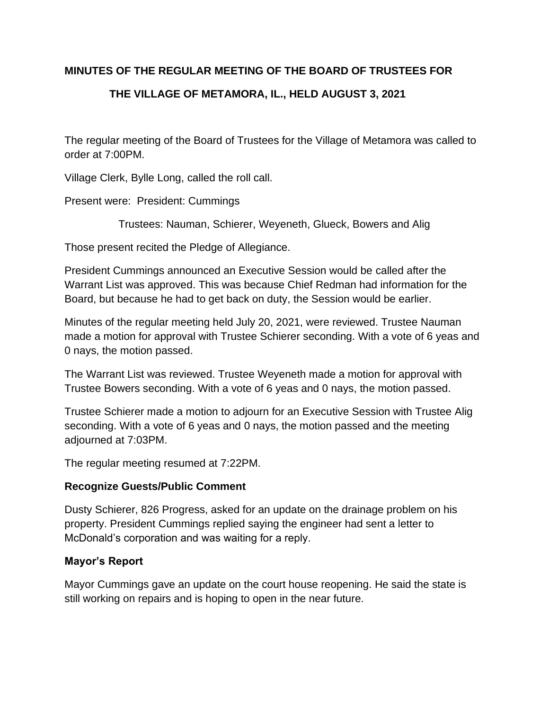### **MINUTES OF THE REGULAR MEETING OF THE BOARD OF TRUSTEES FOR**

# **THE VILLAGE OF METAMORA, IL., HELD AUGUST 3, 2021**

The regular meeting of the Board of Trustees for the Village of Metamora was called to order at 7:00PM.

Village Clerk, Bylle Long, called the roll call.

Present were: President: Cummings

Trustees: Nauman, Schierer, Weyeneth, Glueck, Bowers and Alig

Those present recited the Pledge of Allegiance.

President Cummings announced an Executive Session would be called after the Warrant List was approved. This was because Chief Redman had information for the Board, but because he had to get back on duty, the Session would be earlier.

Minutes of the regular meeting held July 20, 2021, were reviewed. Trustee Nauman made a motion for approval with Trustee Schierer seconding. With a vote of 6 yeas and 0 nays, the motion passed.

The Warrant List was reviewed. Trustee Weyeneth made a motion for approval with Trustee Bowers seconding. With a vote of 6 yeas and 0 nays, the motion passed.

Trustee Schierer made a motion to adjourn for an Executive Session with Trustee Alig seconding. With a vote of 6 yeas and 0 nays, the motion passed and the meeting adjourned at 7:03PM.

The regular meeting resumed at 7:22PM.

#### **Recognize Guests/Public Comment**

Dusty Schierer, 826 Progress, asked for an update on the drainage problem on his property. President Cummings replied saying the engineer had sent a letter to McDonald's corporation and was waiting for a reply.

#### **Mayor's Report**

Mayor Cummings gave an update on the court house reopening. He said the state is still working on repairs and is hoping to open in the near future.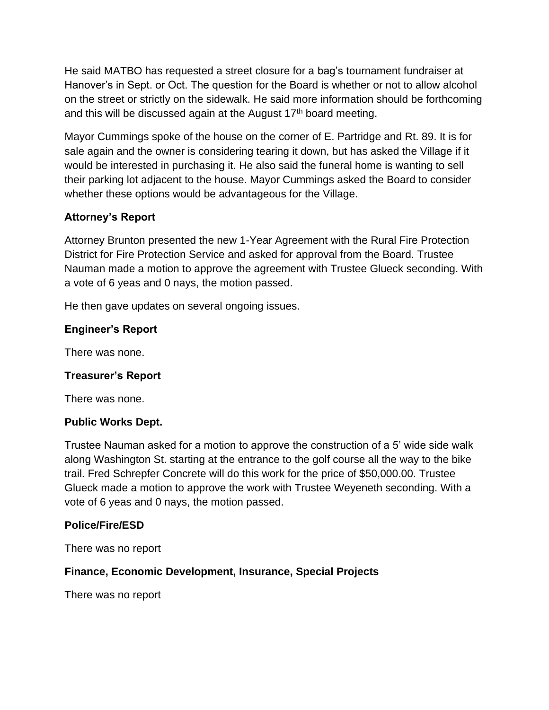He said MATBO has requested a street closure for a bag's tournament fundraiser at Hanover's in Sept. or Oct. The question for the Board is whether or not to allow alcohol on the street or strictly on the sidewalk. He said more information should be forthcoming and this will be discussed again at the August 17<sup>th</sup> board meeting.

Mayor Cummings spoke of the house on the corner of E. Partridge and Rt. 89. It is for sale again and the owner is considering tearing it down, but has asked the Village if it would be interested in purchasing it. He also said the funeral home is wanting to sell their parking lot adjacent to the house. Mayor Cummings asked the Board to consider whether these options would be advantageous for the Village.

## **Attorney's Report**

Attorney Brunton presented the new 1-Year Agreement with the Rural Fire Protection District for Fire Protection Service and asked for approval from the Board. Trustee Nauman made a motion to approve the agreement with Trustee Glueck seconding. With a vote of 6 yeas and 0 nays, the motion passed.

He then gave updates on several ongoing issues.

#### **Engineer's Report**

There was none.

#### **Treasurer's Report**

There was none.

#### **Public Works Dept.**

Trustee Nauman asked for a motion to approve the construction of a 5' wide side walk along Washington St. starting at the entrance to the golf course all the way to the bike trail. Fred Schrepfer Concrete will do this work for the price of \$50,000.00. Trustee Glueck made a motion to approve the work with Trustee Weyeneth seconding. With a vote of 6 yeas and 0 nays, the motion passed.

#### **Police/Fire/ESD**

There was no report

#### **Finance, Economic Development, Insurance, Special Projects**

There was no report